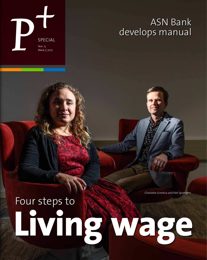

# ASN Bank develops manual

Charlotte Scheltus and Piet Sprengers

# **Living wage** Four steps to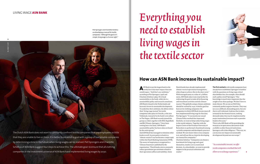**2**

The Dutch ASN Bank does not want to constantly confront textile companies that pay employees so little that they are unable to live on them. It is better to establish a goal with a group of sustainable companies by determining a time in the future when living wages can be realised. Piet Sprengers and Charlotte Scheltus of ASN Bank suggest four steps to achieve this. The ultimate goal: to ensure that all clothing companies in the investment universe of ASN Bank have implemented living wages by 2030.

Piet Sprengers and Charlotte Scheltus are developing a manual for textile companies: "Although the goal isn't simple, living wage is a human right." Everything you need to establish living wages in the textile sector



# **How can ASN Bank increase its sustainable impact?**

**A**SN Bank is not the largest bank in the world, but it has more impact than one would expect. "And that's our ambition," according to Piet Sprengers (1958) and Charlotte Scheltus (1984). He is head sustainability at the bank, while she is a sustainability policy and research consultant. ASN Bank is based in the Netherlands and heavenly invests in sustainable development. To underline their ambition, the debate about their 'living wage manual' for textile companies takes place in Utrecht, at the new Volksbank, instead of in the bank's own offices in The Hague. ASN Bank recently joined this group as a label, together with SNS, RegioBank and BLG Wonen. Sprengers: "I have been coming here a lot lately. ASN Bank's sustainability policy has been taken on board by the entire group."

And ASN Bank has managed to stimulate other banks as well. Its own policy to bank in a 'climate-neutral' way has become a major topic within the Dutch Banking Association (NVB). The source of inspiration is recognised in a 'Climate Statement' published by the organisation: "Dutch banks aim to constantly reduce greenhouse gas emissions related to their operations (offices and mobility). Some

Dutch banks have already implemented climate-neutral operational management, others hope to achieve this in the short term. With managed assets at a value of 13 billion euros, ASN Bank takes it one step further by embracing the goal to make all its financing and investment activities entirely climateneutral. This globally unique climate ambition should be realised by 2030. A similar goal has been set for clothing companies: the companies in which ASN Bank invests must all have implemented living wage by that date. Piet Sprengers: "It was mainly our sound Climate Policy method that impressed. Similarly, we want to help realise living wages in the textile industry. Together with the Impact Centre of the Erasmus University of Rotterdam we performed a benchmark among 14 textile companies and developed a practical method. We now know where every company is at, and will use this as a basis for developing our manual for companies."

Charlotte Scheltus: "Companies can choose a benchmark for living wage and a goal themselves, insofar as it is a motivated decision. As a shareholder, we want to provide support in the practical realisation and results."

**The first contacts** with textile companies have already been established. Sprengers is familiar with the questions on living wage critical shareholders face; for example: what should such a policy entail? Sprengers: "Our knowledge is much more important that the weight of our share package. We don't have to make threats. We are not an NGO that constantly pushes negative buttons. They may see us as a difficult, demanding party, but one that is well-informed. And one that is taken seriously by the financial sector, making demands today that may be implemented by major institutional investors such as pension funds in five years."

This is why ASN Bank will be providing the manual as an open source document made available to other financial institutions. Sprengers calls it due diligence: "This way, we can increase our impact on sustainable development beyond our own scope."

"As a sustainable investor, we offer textile companies a method that will allow us to exchange experiences."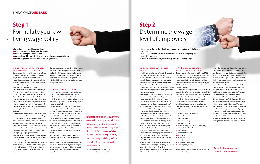

P+ **week 7 | 2017**

# Living wage **ASN Bank**

# **Step 1**  Formulate your own living wage policy

- + **Formulate your own vision and policy.**
- + **Investigate wages in the outsourcing chain.**
- + **Establish a clear goal with an end date.**
- + **Communicate this goal in the language of suppliers and manufacturers.**
- + **Provide insight into your own role in achieving this goal.**

The final argument to not establish living wage is that it results in higher production costs. Scheltus has her doubts. "Living wage motivates employees to work hard, make fewer mistakes. Textile workers will not look for other employment as quickly, which means that training investments offer greater returns."

#### MODERATE OR HARDLINER?

During the religious disputes in the Netherlands in the 17th century there were two sides: the moderates and the hardliners. The first explained the Bible loosely, while the latter took everything literally: if it says a snake said something, it meant the snake could talk.

A similar discussion is possible for living wage. Take rose grower Van den Berg Roses in Kenya. Although the Dutch company doesn't pay living wages, it's still known as a frontrunner in the social field. The reason for this is that there is a free clinic on the company premises, offering free medical care to employees and discounts to their families. Transport is free and local schools are sponsored. These are all living costs that do not have to be paid by the rose pickers themselves. This is a different kind of solution. Or is it?

- 1 Hennes & Mauritz (Swedish) 2 Puma (German) 3 Adidas (German) 4 Inditex (Spanish) 5 Marks & Spencer 6 Esprit Holdings Limited(USA / Hongkong) **7** Gildan Active Wear (Canadian) 8 Asos (British) 9 Kappa hl (Swedish) 10 Nike (USA) 11 GAP (USA) 12 Asics (Japanese) 13 Lojas Renner (Brazilian)
- 
- 

Sprengers of ASN Bank wouldn't choose this moderate approach. "It's good and probably well-intended, but to me it's more of a temporary solution for where governments fail. It involves a 'truck system': if you're not happy and want to work elsewhere, all benefits must be left behind. This makes employees very dependent."

- + **Make an inventory of the actually paid wages in cooperation with the textile manufacturers.**
- + **Also analyse external sources that determine the level of living wage at the production location.**
- + **Calculate the scope of the gap between paid wage and living wage.**

## ASN Bank's cooperation with textile companies

The companies in the investment funds of ASN Bank must meet a number of sustainable criteria to be accepted. In investment jargon these are known as exclusion criteria. But one could also look at it from another perspective, according to ASN Bank. "We include good companies," Piet Sprengers explains.

## WHAT STOPS COMPANIES FROM implementing living wages?

In case of textile companies there are 13 that have been 'included' in the investment universe of ASN Bank. Karen Maas of the Impact Centre of Erasmus University Rotterdam actually supported the bank in analysing the sustainable ambition, policy and implementation of 14 companies. She is a specialist in impact measurement. Swedish company H&M holds the first position, with Puma and Adidas on positions two and three.

14 Amer Sports (Finnish)

The list includes major names, global players even, of which the labels are sometimes more well-

## THE SUCCESSFUL APPROACH of H&M

known than the name of the mother companies. Every winter sports enthusiast is familiar with skis from Salomon and Atomic, but not necessarily the name of the holding Amer Sports. A widely known name in Dutch shopping streets is Zara, while its clothing is produced for the little-known Spanish mother company Inditex.

Some other major brands are not on the list for various reasons. C&A is not included, while it is one of the two largest buyers of organic cotton worldwide. But as the Dutch chain isn't listed, it can't be included in an investment fund. More remarkable is the absence of the more luxurious fashion brands, of which one would expect that their higher product prices would easily be able to accommodate living wage. Where are Hugo Boss, Dior, or Burberry? These pricey fashion brands have their high-fashion made by very cheap textile workers in India and Bangladesh too. Moreover, the top segment still uses real fur. Charlotte Scheltus: "This may involve collars or trimmings on gloves. Regardless, ASN refuses to invest in companies that mistreat animals via its funds."

"The remuneration received for a standard work week by a worker in a particular place sufficient to afford a decent standard of living for the worker and her or his family. Elements of a decent standard of living include food, water, housing, education, health care, transport, clothing, and other essential needs including provision for unexpected events."

Definition of living wage from Social Accountability International (SAI)

"We will develop a price method that ensures actual labour costs."

# **Step 2** Determine the wage level of employees

Books can be filled with all inhumane conditions in which textile workers live as a result of low wages. The same applies to the obstacles that hinder the realisation of living wage. Charlotte Scheltus is familiar with all the reasons why not to establish a living wage.

Moreover, she is through with the infinite discussions about the definition of living wage. "The term 'living wage' has been around since 1919 and it was defined as part of the Universal Declaration on Human Rights in 1948. It's more important to look at the figures. There have been plenty of studies analysing the gap between the minimum wage level and living wage. Use that data and start a pilot. Learn by doing. As a clothing company, it will win you sympathy from your customers."

Another obstacle is whether customers will want to pay a fairer price for their summer dress. Buyers can't be blamed for being hesitant: they don't have a direct impact on the management of their shopping chains. Scheltus: "Support can be stimulated by working with organisations that act on behalf of the customer. It has been proven that people who feel committed to a company are willing to pay a higher price in the shops." Moreover, governments in developing countries rarely cooperate. It is in their best interest to keep the minimum wage low so the country continues to be attractive to companies, either to invest or to settle. Here too, Scheltus sees a task for cooperating textile companies: "When competitors join forces, no one benefits from lower minimum wages."

Swedish company Hennes & Mauritz developed its own term, the 'Fair Wage Method', with an associated roadmap. It even includes a date: in 2018 all H&M's strategic suppliers must pay their employees 'living wages'. No other company of this size has done this before, although the small Swedish label 'Nudie' goes much further in India by more than doubling the minimum wage; from 62 euros to 150 euro a month.

The H&M policy was established in 2013 and the first results will be visible soon. Despite its size, it's not easier for H&M it to arrange a higher wage than it is for other textile companies, as it doesn't own any of the production locations. The factory owners, which represent some 850,000 employees distributed over 750 factories, must be convinced first. This demanded a promise, which H&M made: "We will develop a price method that guarantees actual labour costs. By doing so, we enable our suppliers to pay living wages and limit overtime." H&M also publicly resolved to convince governments of establishing a minimum wage at the living wage level, and then adapting it to the increased costs of living on an annual basis. In addition, H&M promised to work with employee associations in the process, and even initiate a pilot project in Bangladesh in cooperation with Swedish trade union IF Metall.

To Piet Sprengers this proves that even H&M still had to explore which wages were being paid. "This is something all companies face: they need sufficient insight into what is actually being paid. This information is just not readily available."